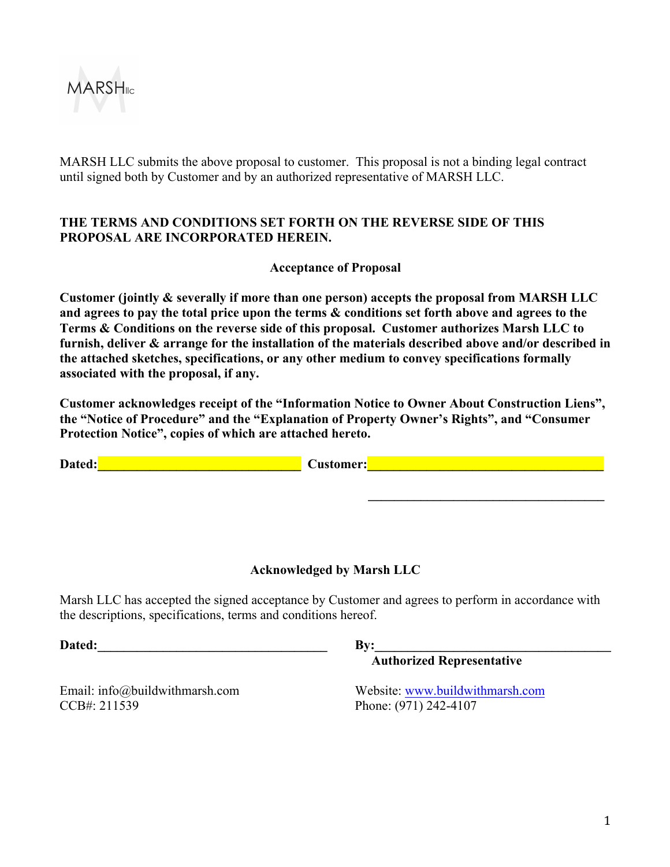

MARSH LLC submits the above proposal to customer. This proposal is not a binding legal contract until signed both by Customer and by an authorized representative of MARSH LLC.

#### **THE TERMS AND CONDITIONS SET FORTH ON THE REVERSE SIDE OF THIS PROPOSAL ARE INCORPORATED HEREIN.**

#### **Acceptance of Proposal**

**Customer (jointly & severally if more than one person) accepts the proposal from MARSH LLC and agrees to pay the total price upon the terms & conditions set forth above and agrees to the Terms & Conditions on the reverse side of this proposal. Customer authorizes Marsh LLC to furnish, deliver & arrange for the installation of the materials described above and/or described in the attached sketches, specifications, or any other medium to convey specifications formally associated with the proposal, if any.**

**Customer acknowledges receipt of the "Information Notice to Owner About Construction Liens", the "Notice of Procedure" and the "Explanation of Property Owner's Rights", and "Consumer Protection Notice", copies of which are attached hereto.**

**Dated:\_\_\_\_\_\_\_\_\_\_\_\_\_\_\_\_\_\_\_\_\_\_\_\_\_\_\_\_\_\_\_ Customer:\_\_\_\_\_\_\_\_\_\_\_\_\_\_\_\_\_\_\_\_\_\_\_\_\_\_\_\_\_\_\_\_\_\_\_\_**

#### **Acknowledged by Marsh LLC**

Marsh LLC has accepted the signed acceptance by Customer and agrees to perform in accordance with the descriptions, specifications, terms and conditions hereof.

Dated: Exercise Exercise Exercise Exercise Exercise Exercise Exercise Exercise Exercise Exercise Exercise Exercise Exercise Exercise Exercise Exercise Exercise Exercise Exercise Exercise Exercise Exercise Exercise Exercise

 **Authorized Representative**

 $\frac{1}{2}$  ,  $\frac{1}{2}$  ,  $\frac{1}{2}$  ,  $\frac{1}{2}$  ,  $\frac{1}{2}$  ,  $\frac{1}{2}$  ,  $\frac{1}{2}$  ,  $\frac{1}{2}$  ,  $\frac{1}{2}$  ,  $\frac{1}{2}$  ,  $\frac{1}{2}$  ,  $\frac{1}{2}$  ,  $\frac{1}{2}$  ,  $\frac{1}{2}$  ,  $\frac{1}{2}$  ,  $\frac{1}{2}$  ,  $\frac{1}{2}$  ,  $\frac{1}{2}$  ,  $\frac{1$ 

CCB#: 211539 Phone: (971) 242-4107

Email: info@buildwithmarsh.com Website: www.buildwithmarsh.com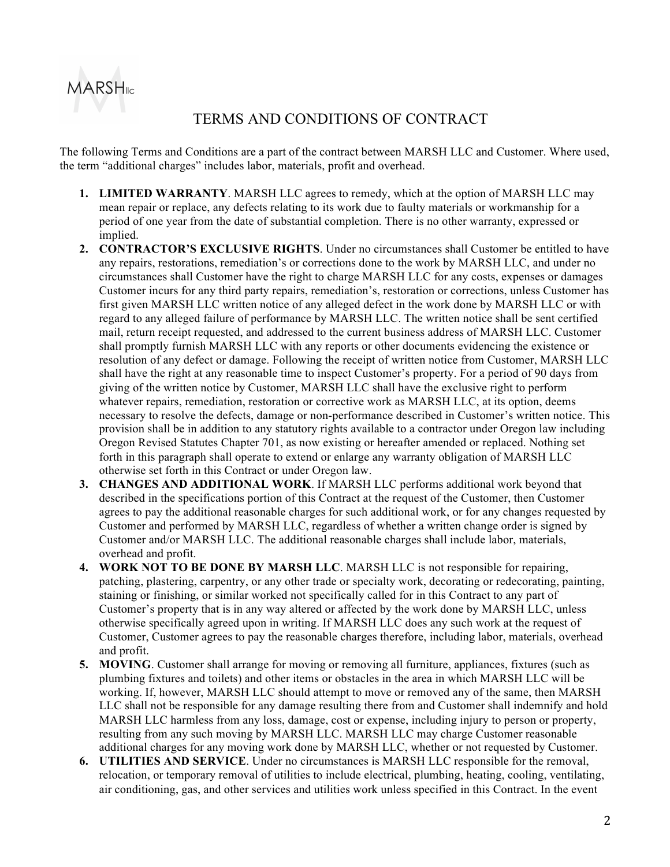

# TERMS AND CONDITIONS OF CONTRACT

The following Terms and Conditions are a part of the contract between MARSH LLC and Customer. Where used, the term "additional charges" includes labor, materials, profit and overhead.

- **1. LIMITED WARRANTY**. MARSH LLC agrees to remedy, which at the option of MARSH LLC may mean repair or replace, any defects relating to its work due to faulty materials or workmanship for a period of one year from the date of substantial completion. There is no other warranty, expressed or implied.
- **2. CONTRACTOR'S EXCLUSIVE RIGHTS**. Under no circumstances shall Customer be entitled to have any repairs, restorations, remediation's or corrections done to the work by MARSH LLC, and under no circumstances shall Customer have the right to charge MARSH LLC for any costs, expenses or damages Customer incurs for any third party repairs, remediation's, restoration or corrections, unless Customer has first given MARSH LLC written notice of any alleged defect in the work done by MARSH LLC or with regard to any alleged failure of performance by MARSH LLC. The written notice shall be sent certified mail, return receipt requested, and addressed to the current business address of MARSH LLC. Customer shall promptly furnish MARSH LLC with any reports or other documents evidencing the existence or resolution of any defect or damage. Following the receipt of written notice from Customer, MARSH LLC shall have the right at any reasonable time to inspect Customer's property. For a period of 90 days from giving of the written notice by Customer, MARSH LLC shall have the exclusive right to perform whatever repairs, remediation, restoration or corrective work as MARSH LLC, at its option, deems necessary to resolve the defects, damage or non-performance described in Customer's written notice. This provision shall be in addition to any statutory rights available to a contractor under Oregon law including Oregon Revised Statutes Chapter 701, as now existing or hereafter amended or replaced. Nothing set forth in this paragraph shall operate to extend or enlarge any warranty obligation of MARSH LLC otherwise set forth in this Contract or under Oregon law.
- **3. CHANGES AND ADDITIONAL WORK**. If MARSH LLC performs additional work beyond that described in the specifications portion of this Contract at the request of the Customer, then Customer agrees to pay the additional reasonable charges for such additional work, or for any changes requested by Customer and performed by MARSH LLC, regardless of whether a written change order is signed by Customer and/or MARSH LLC. The additional reasonable charges shall include labor, materials, overhead and profit.
- **4. WORK NOT TO BE DONE BY MARSH LLC**. MARSH LLC is not responsible for repairing, patching, plastering, carpentry, or any other trade or specialty work, decorating or redecorating, painting, staining or finishing, or similar worked not specifically called for in this Contract to any part of Customer's property that is in any way altered or affected by the work done by MARSH LLC, unless otherwise specifically agreed upon in writing. If MARSH LLC does any such work at the request of Customer, Customer agrees to pay the reasonable charges therefore, including labor, materials, overhead and profit.
- **5. MOVING**. Customer shall arrange for moving or removing all furniture, appliances, fixtures (such as plumbing fixtures and toilets) and other items or obstacles in the area in which MARSH LLC will be working. If, however, MARSH LLC should attempt to move or removed any of the same, then MARSH LLC shall not be responsible for any damage resulting there from and Customer shall indemnify and hold MARSH LLC harmless from any loss, damage, cost or expense, including injury to person or property, resulting from any such moving by MARSH LLC. MARSH LLC may charge Customer reasonable additional charges for any moving work done by MARSH LLC, whether or not requested by Customer.
- **6. UTILITIES AND SERVICE**. Under no circumstances is MARSH LLC responsible for the removal, relocation, or temporary removal of utilities to include electrical, plumbing, heating, cooling, ventilating, air conditioning, gas, and other services and utilities work unless specified in this Contract. In the event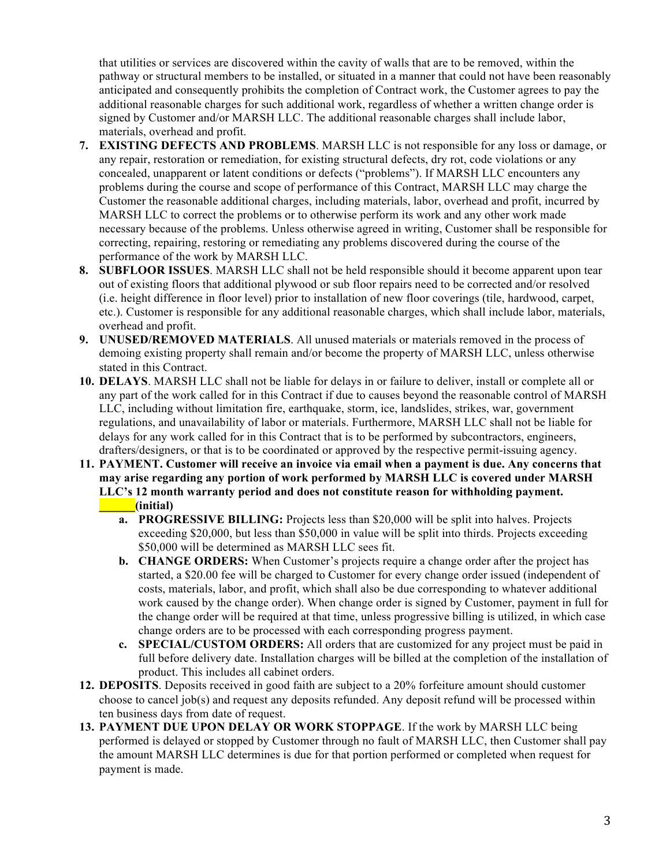that utilities or services are discovered within the cavity of walls that are to be removed, within the pathway or structural members to be installed, or situated in a manner that could not have been reasonably anticipated and consequently prohibits the completion of Contract work, the Customer agrees to pay the additional reasonable charges for such additional work, regardless of whether a written change order is signed by Customer and/or MARSH LLC. The additional reasonable charges shall include labor, materials, overhead and profit.

- **7. EXISTING DEFECTS AND PROBLEMS**. MARSH LLC is not responsible for any loss or damage, or any repair, restoration or remediation, for existing structural defects, dry rot, code violations or any concealed, unapparent or latent conditions or defects ("problems"). If MARSH LLC encounters any problems during the course and scope of performance of this Contract, MARSH LLC may charge the Customer the reasonable additional charges, including materials, labor, overhead and profit, incurred by MARSH LLC to correct the problems or to otherwise perform its work and any other work made necessary because of the problems. Unless otherwise agreed in writing, Customer shall be responsible for correcting, repairing, restoring or remediating any problems discovered during the course of the performance of the work by MARSH LLC.
- **8. SUBFLOOR ISSUES**. MARSH LLC shall not be held responsible should it become apparent upon tear out of existing floors that additional plywood or sub floor repairs need to be corrected and/or resolved (i.e. height difference in floor level) prior to installation of new floor coverings (tile, hardwood, carpet, etc.). Customer is responsible for any additional reasonable charges, which shall include labor, materials, overhead and profit.
- **9. UNUSED/REMOVED MATERIALS**. All unused materials or materials removed in the process of demoing existing property shall remain and/or become the property of MARSH LLC, unless otherwise stated in this Contract.
- **10. DELAYS**. MARSH LLC shall not be liable for delays in or failure to deliver, install or complete all or any part of the work called for in this Contract if due to causes beyond the reasonable control of MARSH LLC, including without limitation fire, earthquake, storm, ice, landslides, strikes, war, government regulations, and unavailability of labor or materials. Furthermore, MARSH LLC shall not be liable for delays for any work called for in this Contract that is to be performed by subcontractors, engineers, drafters/designers, or that is to be coordinated or approved by the respective permit-issuing agency.
- **11. PAYMENT. Customer will receive an invoice via email when a payment is due. Any concerns that may arise regarding any portion of work performed by MARSH LLC is covered under MARSH LLC's 12 month warranty period and does not constitute reason for withholding payment. \_\_\_\_\_\_(initial)**
	- **a. PROGRESSIVE BILLING:** Projects less than \$20,000 will be split into halves. Projects exceeding \$20,000, but less than \$50,000 in value will be split into thirds. Projects exceeding \$50,000 will be determined as MARSH LLC sees fit.
	- **b. CHANGE ORDERS:** When Customer's projects require a change order after the project has started, a \$20.00 fee will be charged to Customer for every change order issued (independent of costs, materials, labor, and profit, which shall also be due corresponding to whatever additional work caused by the change order). When change order is signed by Customer, payment in full for the change order will be required at that time, unless progressive billing is utilized, in which case change orders are to be processed with each corresponding progress payment.
	- **c. SPECIAL/CUSTOM ORDERS:** All orders that are customized for any project must be paid in full before delivery date. Installation charges will be billed at the completion of the installation of product. This includes all cabinet orders.
- **12. DEPOSITS**. Deposits received in good faith are subject to a 20% forfeiture amount should customer choose to cancel job(s) and request any deposits refunded. Any deposit refund will be processed within ten business days from date of request.
- **13. PAYMENT DUE UPON DELAY OR WORK STOPPAGE**. If the work by MARSH LLC being performed is delayed or stopped by Customer through no fault of MARSH LLC, then Customer shall pay the amount MARSH LLC determines is due for that portion performed or completed when request for payment is made.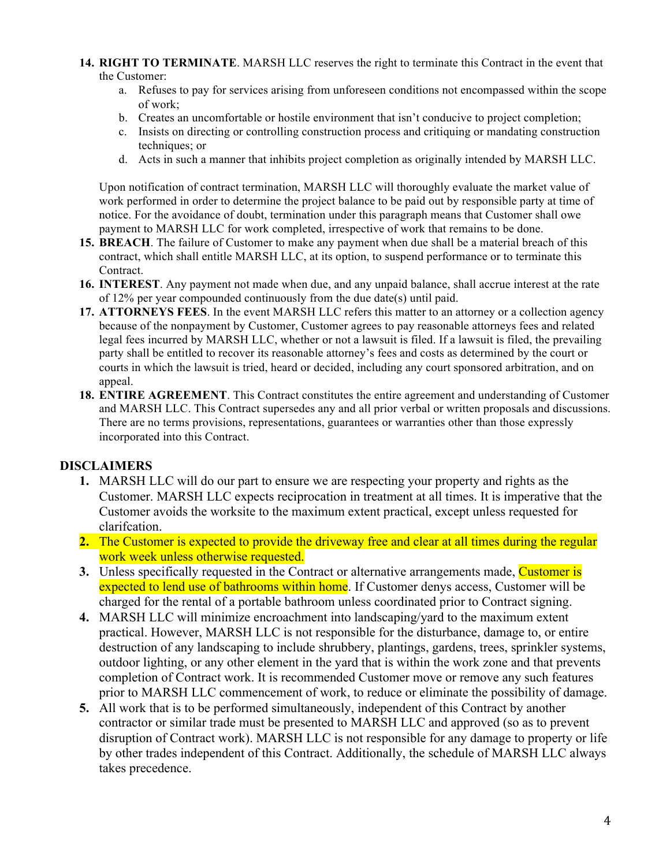- **14. RIGHT TO TERMINATE**. MARSH LLC reserves the right to terminate this Contract in the event that the Customer:
	- a. Refuses to pay for services arising from unforeseen conditions not encompassed within the scope of work;
	- b. Creates an uncomfortable or hostile environment that isn't conducive to project completion;
	- c. Insists on directing or controlling construction process and critiquing or mandating construction techniques; or
	- d. Acts in such a manner that inhibits project completion as originally intended by MARSH LLC.

Upon notification of contract termination, MARSH LLC will thoroughly evaluate the market value of work performed in order to determine the project balance to be paid out by responsible party at time of notice. For the avoidance of doubt, termination under this paragraph means that Customer shall owe payment to MARSH LLC for work completed, irrespective of work that remains to be done.

- **15. BREACH**. The failure of Customer to make any payment when due shall be a material breach of this contract, which shall entitle MARSH LLC, at its option, to suspend performance or to terminate this Contract.
- **16. INTEREST**. Any payment not made when due, and any unpaid balance, shall accrue interest at the rate of 12% per year compounded continuously from the due date(s) until paid.
- **17. ATTORNEYS FEES**. In the event MARSH LLC refers this matter to an attorney or a collection agency because of the nonpayment by Customer, Customer agrees to pay reasonable attorneys fees and related legal fees incurred by MARSH LLC, whether or not a lawsuit is filed. If a lawsuit is filed, the prevailing party shall be entitled to recover its reasonable attorney's fees and costs as determined by the court or courts in which the lawsuit is tried, heard or decided, including any court sponsored arbitration, and on appeal.
- **18. ENTIRE AGREEMENT**. This Contract constitutes the entire agreement and understanding of Customer and MARSH LLC. This Contract supersedes any and all prior verbal or written proposals and discussions. There are no terms provisions, representations, guarantees or warranties other than those expressly incorporated into this Contract.

### **DISCLAIMERS**

- **1.** MARSH LLC will do our part to ensure we are respecting your property and rights as the Customer. MARSH LLC expects reciprocation in treatment at all times. It is imperative that the Customer avoids the worksite to the maximum extent practical, except unless requested for clarifcation.
- **2.** The Customer is expected to provide the driveway free and clear at all times during the regular work week unless otherwise requested.
- **3.** Unless specifically requested in the Contract or alternative arrangements made, Customer is expected to lend use of bathrooms within home. If Customer denys access, Customer will be charged for the rental of a portable bathroom unless coordinated prior to Contract signing.
- **4.** MARSH LLC will minimize encroachment into landscaping/yard to the maximum extent practical. However, MARSH LLC is not responsible for the disturbance, damage to, or entire destruction of any landscaping to include shrubbery, plantings, gardens, trees, sprinkler systems, outdoor lighting, or any other element in the yard that is within the work zone and that prevents completion of Contract work. It is recommended Customer move or remove any such features prior to MARSH LLC commencement of work, to reduce or eliminate the possibility of damage.
- **5.** All work that is to be performed simultaneously, independent of this Contract by another contractor or similar trade must be presented to MARSH LLC and approved (so as to prevent disruption of Contract work). MARSH LLC is not responsible for any damage to property or life by other trades independent of this Contract. Additionally, the schedule of MARSH LLC always takes precedence.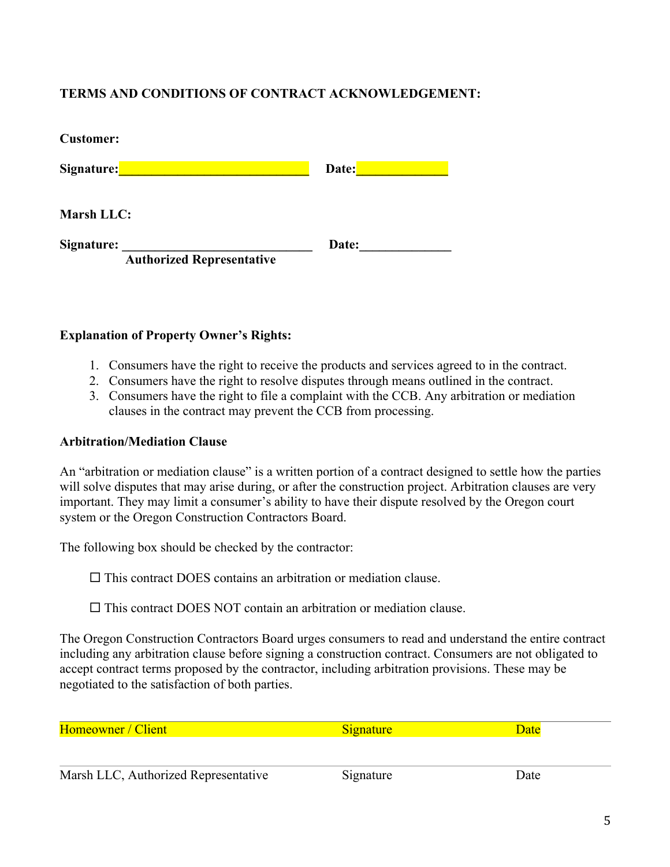## **TERMS AND CONDITIONS OF CONTRACT ACKNOWLEDGEMENT:**

| <b>Customer:</b>                 |       |
|----------------------------------|-------|
| Signature:                       | Date: |
| <b>Marsh LLC:</b>                |       |
| Signature:                       | Date: |
| <b>Authorized Representative</b> |       |

#### **Explanation of Property Owner's Rights:**

- 1. Consumers have the right to receive the products and services agreed to in the contract.
- 2. Consumers have the right to resolve disputes through means outlined in the contract.
- 3. Consumers have the right to file a complaint with the CCB. Any arbitration or mediation clauses in the contract may prevent the CCB from processing.

#### **Arbitration/Mediation Clause**

An "arbitration or mediation clause" is a written portion of a contract designed to settle how the parties will solve disputes that may arise during, or after the construction project. Arbitration clauses are very important. They may limit a consumer's ability to have their dispute resolved by the Oregon court system or the Oregon Construction Contractors Board.

The following box should be checked by the contractor:

 $\square$  This contract DOES contains an arbitration or mediation clause.

 $\square$  This contract DOES NOT contain an arbitration or mediation clause.

The Oregon Construction Contractors Board urges consumers to read and understand the entire contract including any arbitration clause before signing a construction contract. Consumers are not obligated to accept contract terms proposed by the contractor, including arbitration provisions. These may be negotiated to the satisfaction of both parties.

| Homeowner / Client                   | <b>Signature</b> | Date |
|--------------------------------------|------------------|------|
|                                      |                  |      |
| Marsh LLC, Authorized Representative | Signature        | Date |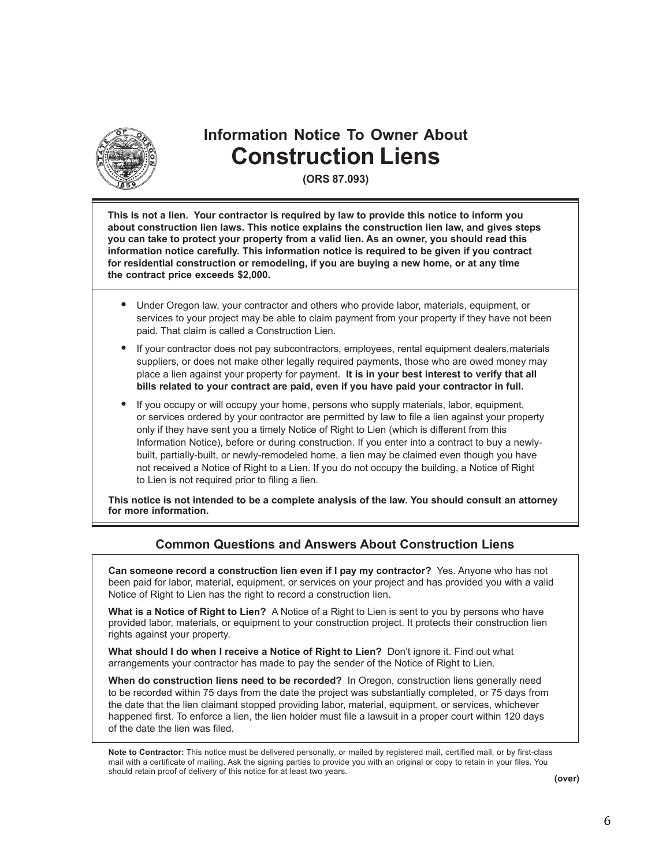

# **Information Notice To Owner About Construction Liens**

**(ORS 87.093)**

**This is not a lien. Your contractor is required by law to provide this notice to inform you about construction lien laws. This notice explains the construction lien law, and gives steps you can take to protect your property from a valid lien. As an owner, you should read this information notice carefully. This information notice is required to be given if you contract for residential construction or remodeling, if you are buying a new home, or at any time the contract price exceeds \$2,000.**

- Under Oregon law, your contractor and others who provide labor, materials, equipment, or services to your project may be able to claim payment from your property if they have not been paid. That claim is called a Construction Lien.
- If your contractor does not pay subcontractors, employees, rental equipment dealers,materials suppliers, or does not make other legally required payments, those who are owed money may place a lien against your property for payment. **It is in your best interest to verify that all bills related to your contract are paid, even if you have paid your contractor in full.**
- If you occupy or will occupy your home, persons who supply materials, labor, equipment, or services ordered by your contractor are permitted by law to file a lien against your property only if they have sent you a timely Notice of Right to Lien (which is different from this Information Notice), before or during construction. If you enter into a contract to buy a newlybuilt, partially-built, or newly-remodeled home, a lien may be claimed even though you have not received a Notice of Right to a Lien. If you do not occupy the building, a Notice of Right to Lien is not required prior to filing a lien.

**This notice is not intended to be a complete analysis of the law. You should consult an attorney for more information.**

#### **Common Questions and Answers About Construction Liens**

**Can someone record a construction lien even if I pay my contractor?** Yes. Anyone who has not been paid for labor, material, equipment, or services on your project and has provided you with a valid Notice of Right to Lien has the right to record a construction lien.

**What is a Notice of Right to Lien?** A Notice of a Right to Lien is sent to you by persons who have provided labor, materials, or equipment to your construction project. It protects their construction lien rights against your property.

**What should I do when I receive a Notice of Right to Lien?** Don't ignore it. Find out what arrangements your contractor has made to pay the sender of the Notice of Right to Lien.

**When do construction liens need to be recorded?** In Oregon, construction liens generally need to be recorded within 75 days from the date the project was substantially completed, or 75 days from the date that the lien claimant stopped providing labor, material, equipment, or services, whichever happened first. To enforce a lien, the lien holder must file a lawsuit in a proper court within 120 days of the date the lien was filed.

**Note to Contractor:** This notice must be delivered personally, or mailed by registered mail, certified mail, or by first-class mail with a certificate of mailing. Ask the signing parties to provide you with an original or copy to retain in your files. You should retain proof of delivery of this notice for at least two years.

**(over)**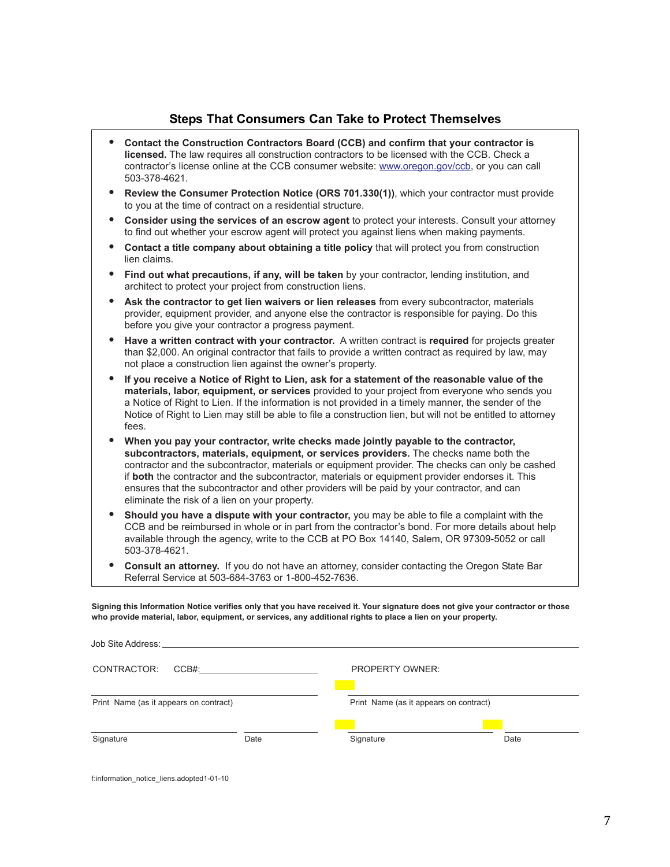#### **Steps That Consumers Can Take to Protect Themselves**

- **Contact the Construction Contractors Board (CCB) and confirm that your contractor is licensed.** The law requires all construction contractors to be licensed with the CCB. Check a contractor's license online at the CCB consumer website: www.oregon.gov/ccb, or you can call 503-378-4621.
- **Review the Consumer Protection Notice (ORS 701.330(1))**, which your contractor must provide to you at the time of contract on a residential structure.
- **Consider using the services of an escrow agent** to protect your interests. Consult your attorney to find out whether your escrow agent will protect you against liens when making payments.
- **Contact a title company about obtaining a title policy** that will protect you from construction lien claims.
- **Find out what precautions, if any, will be taken** by your contractor, lending institution, and architect to protect your project from construction liens.
- **Ask the contractor to get lien waivers or lien releases** from every subcontractor, materials provider, equipment provider, and anyone else the contractor is responsible for paying. Do this before you give your contractor a progress payment.
- **Have a written contract with your contractor.** A written contract is **required** for projects greater than \$2,000. An original contractor that fails to provide a written contract as required by law, may not place a construction lien against the owner's property.
- **If you receive a Notice of Right to Lien, ask for a statement of the reasonable value of the materials, labor, equipment, or services** provided to your project from everyone who sends you a Notice of Right to Lien. If the information is not provided in a timely manner, the sender of the Notice of Right to Lien may still be able to file a construction lien, but will not be entitled to attorney  $f_{\mathsf{P}}$
- **When you pay your contractor, write checks made jointly payable to the contractor, subcontractors, materials, equipment, or services providers.** The checks name both the contractor and the subcontractor, materials or equipment provider. The checks can only be cashed if **both** the contractor and the subcontractor, materials or equipment provider endorses it. This ensures that the subcontractor and other providers will be paid by your contractor, and can eliminate the risk of a lien on your property.
- **Should you have a dispute with your contractor,** you may be able to file a complaint with the CCB and be reimbursed in whole or in part from the contractor's bond. For more details about help available through the agency, write to the CCB at PO Box 14140, Salem, OR 97309-5052 or call 503-378-4621.
- **Consult an attorney.** If you do not have an attorney, consider contacting the Oregon State Bar Referral Service at 503-684-3763 or 1-800-452-7636.

**Signing this Information Notice verifies only that you have received it. Your signature does not give your contractor or those who provide material, labor, equipment, or services, any additional rights to place a lien on your property.**

| Job Site Address: __________           |      |                                        |      |  |
|----------------------------------------|------|----------------------------------------|------|--|
| CONTRACTOR:<br>CCB#                    |      | <b>PROPERTY OWNER:</b>                 |      |  |
| Print Name (as it appears on contract) |      | Print Name (as it appears on contract) |      |  |
| Signature                              | Date | Signature                              | Date |  |
|                                        |      |                                        |      |  |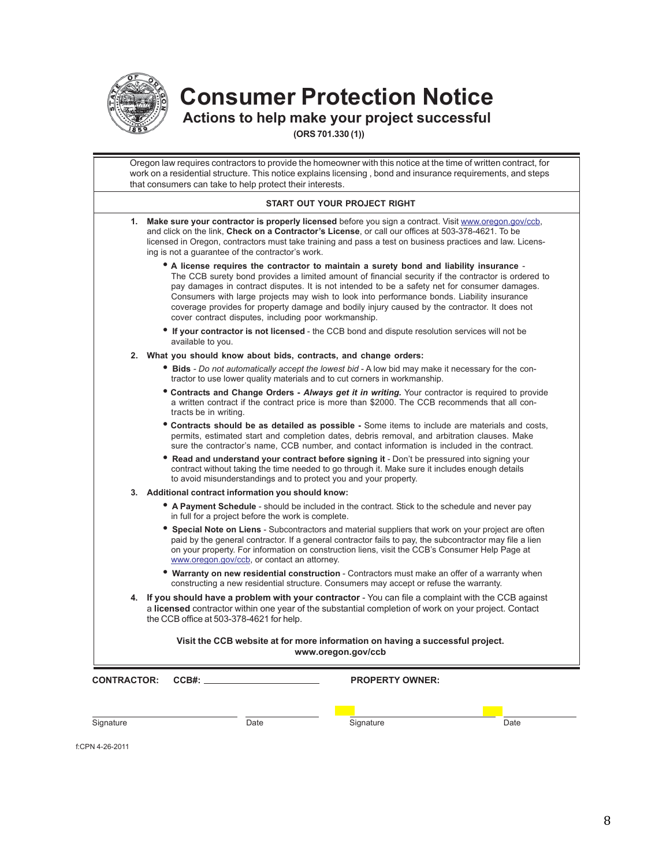

# **Consumer Protection Notice**

**Actions to help make your project successful**

**(ORS 701.330 (1))**

**1. Make sure your contractor is properly licensed** before you sign a contract. Visit www.oregon.gov/ccb, and click on the link, **Check on a Contractor's License**, or call our offices at 503-378-4621. To be licensed in Oregon, contractors must take training and pass a test on business practices and law. Licensing is not a guarantee of the contractor's work. **• A license requires the contractor to maintain a surety bond and liability insurance** - The CCB surety bond provides a limited amount of financial security if the contractor is ordered to pay damages in contract disputes. It is not intended to be a safety net for consumer damages. Consumers with large projects may wish to look into performance bonds. Liability insurance coverage provides for property damage and bodily injury caused by the contractor. It does not cover contract disputes, including poor workmanship. **• If your contractor is not licensed** - the CCB bond and dispute resolution services will not be available to you. **2. What you should know about bids, contracts, and change orders: • Bids** *- Do not automatically accept the lowest bid* - A low bid may make it necessary for the contractor to use lower quality materials and to cut corners in workmanship. **• Contracts and Change Orders -** *Always get it in writing.* Your contractor is required to provide a written contract if the contract price is more than \$2000. The CCB recommends that all contracts be in writing. **• Contracts should be as detailed as possible -** Some items to include are materials and costs, permits, estimated start and completion dates, debris removal, and arbitration clauses. Make sure the contractor's name, CCB number, and contact information is included in the contract. **• Read and understand your contract before signing it** - Don't be pressured into signing your contract without taking the time needed to go through it. Make sure it includes enough details to avoid misunderstandings and to protect you and your property. **3. Additional contract information you should know: • A Payment Schedule** - should be included in the contract. Stick to the schedule and never pay in full for a project before the work is complete. **• Special Note on Liens** - Subcontractors and material suppliers that work on your project are often paid by the general contractor. If a general contractor fails to pay, the subcontractor may file a lien on your property. For information on construction liens, visit the CCB's Consumer Help Page at www.oregon.gov/ccb, or contact an attorney. **• Warranty on new residential construction** - Contractors must make an offer of a warranty when constructing a new residential structure. Consumers may accept or refuse the warranty. **4. If you should have a problem with your contractor** - You can file a complaint with the CCB against a **licensed** contractor within one year of the substantial completion of work on your project. Contact the CCB office at 503-378-4621 for help. **Visit the CCB website at for more information on having a successful project. www.oregon.gov/ccb** Oregon law requires contractors to provide the homeowner with this notice at the time of written contract, for work on a residential structure. This notice explains licensing , bond and insurance requirements, and steps that consumers can take to help protect their interests. **START OUT YOUR PROJECT RIGHT CONTRACTOR: CCB#: PROPERTY OWNER:** Signature **Signature** Date **Contract Date** Signature Signature **Date** Date